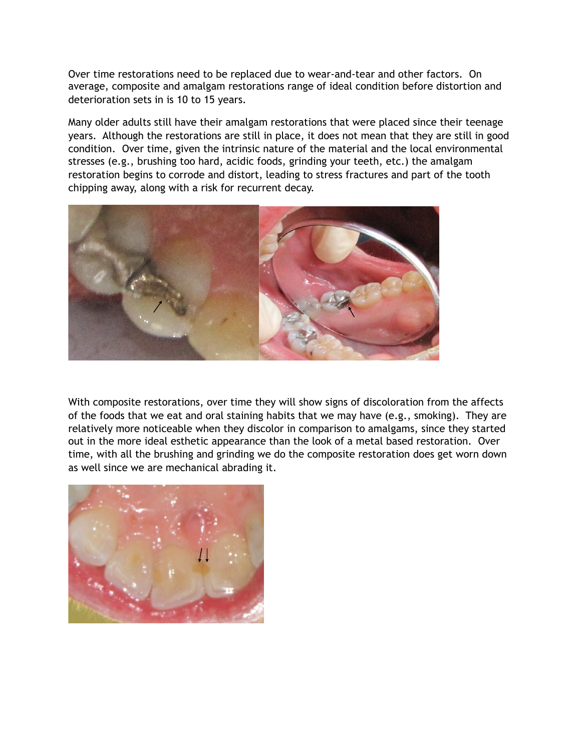Over time restorations need to be replaced due to wear-and-tear and other factors. On average, composite and amalgam restorations range of ideal condition before distortion and deterioration sets in is 10 to 15 years.

Many older adults still have their amalgam restorations that were placed since their teenage years. Although the restorations are still in place, it does not mean that they are still in good condition. Over time, given the intrinsic nature of the material and the local environmental stresses (e.g., brushing too hard, acidic foods, grinding your teeth, etc.) the amalgam restoration begins to corrode and distort, leading to stress fractures and part of the tooth chipping away, along with a risk for recurrent decay.



With composite restorations, over time they will show signs of discoloration from the affects of the foods that we eat and oral staining habits that we may have (e.g., smoking). They are relatively more noticeable when they discolor in comparison to amalgams, since they started out in the more ideal esthetic appearance than the look of a metal based restoration. Over time, with all the brushing and grinding we do the composite restoration does get worn down as well since we are mechanical abrading it.